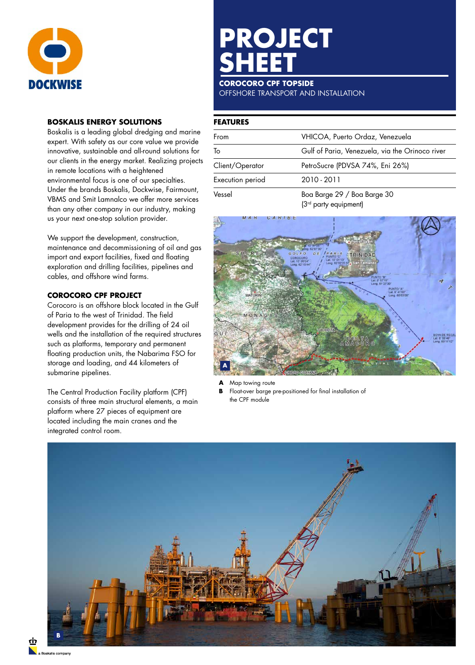

## **BOSKALIS ENERGY SOLUTIONS**

Boskalis is a leading global dredging and marine expert. With safety as our core value we provide innovative, sustainable and all-round solutions for our clients in the energy market. Realizing projects in remote locations with a heightened environmental focus is one of our specialties. Under the brands Boskalis, Dockwise, Fairmount, VBMS and Smit Lamnalco we offer more services than any other company in our industry, making us your next one-stop solution provider.

We support the development, construction, maintenance and decommissioning of oil and gas import and export facilities, fixed and floating exploration and drilling facilities, pipelines and cables, and offshore wind farms.

## **COROCORO CPF PROJECT**

Corocoro is an offshore block located in the Gulf of Paria to the west of Trinidad. The field development provides for the drilling of 24 oil wells and the installation of the required structures such as platforms, temporary and permanent floating production units, the Nabarima FSO for storage and loading, and 44 kilometers of submarine pipelines.

The Central Production Facility platform (CPF) consists of three main structural elements, a main platform where 27 pieces of equipment are located including the main cranes and the integrated control room.

# **PROJECT SHEET**

## **COROCORO CPF TOPSIDE**

OFFSHORE TRANSPORT AND INSTALLATION

# **FEATURES**

| From             | VHICOA, Puerto Ordaz, Venezuela                 |
|------------------|-------------------------------------------------|
| To               | Gulf of Paria, Venezuela, via the Orinoco river |
| Client/Operator  | PetroSucre (PDVSA 74%, Eni 26%)                 |
| Execution period | 2010 - 2011                                     |
| Vessel           | Boa Barge 29 / Boa Barge 30                     |

(3rd party equipment)



**A** Map towing route<br>**B** Float-over barge a

Float-over barge pre-positioned for final installation of the CPF module